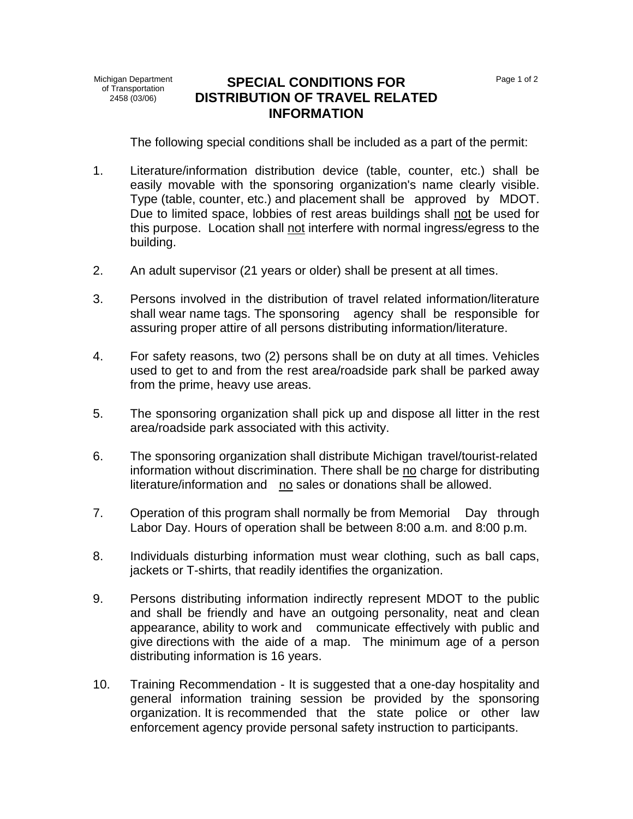## **SPECIAL CONDITIONS FOR DISTRIBUTION OF TRAVEL RELATED INFORMATION**

Page 1 of 2

The following special conditions shall be included as a part of the permit:

- 1. Literature/information distribution device (table, counter, etc.) shall be easily movable with the sponsoring organization's name clearly visible. Type (table, counter, etc.) and placement shall be approved by MDOT. Due to limited space, lobbies of rest areas buildings shall not be used for this purpose. Location shall not interfere with normal ingress/egress to the building.
- 2. An adult supervisor (21 years or older) shall be present at all times.
- 3. Persons involved in the distribution of travel related information/literature shall wear name tags. The sponsoring agency shall be responsible for assuring proper attire of all persons distributing information/literature.
- 4. For safety reasons, two (2) persons shall be on duty at all times. Vehicles used to get to and from the rest area/roadside park shall be parked away from the prime, heavy use areas.
- 5. The sponsoring organization shall pick up and dispose all litter in the rest area/roadside park associated with this activity.
- 6. The sponsoring organization shall distribute Michigan travel/tourist-related information without discrimination. There shall be no charge for distributing literature/information and no sales or donations shall be allowed.
- 7. Operation of this program shall normally be from Memorial Day through Labor Day. Hours of operation shall be between 8:00 a.m. and 8:00 p.m.
- 8. Individuals disturbing information must wear clothing, such as ball caps, jackets or T-shirts, that readily identifies the organization.
- 9. Persons distributing information indirectly represent MDOT to the public and shall be friendly and have an outgoing personality, neat and clean appearance, ability to work and communicate effectively with public and give directions with the aide of a map. The minimum age of a person distributing information is 16 years.
- 10. Training Recommendation It is suggested that a one-day hospitality and general information training session be provided by the sponsoring organization. It is recommended that the state police or other law enforcement agency provide personal safety instruction to participants.